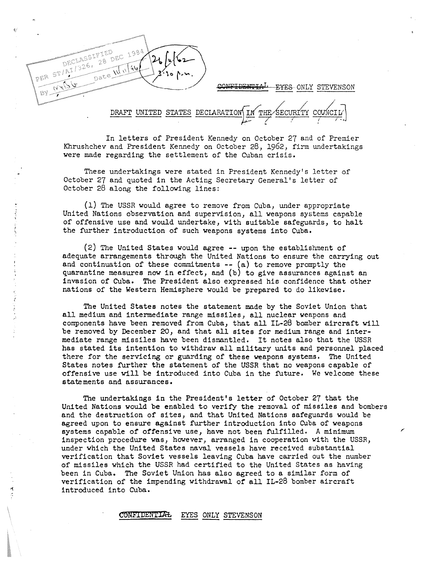

CONFIDENTIA<sup>L</sup> EYES ONLY STEVENSON

DRAFT UNITED STATES DECLARATION SECURITY

In letters of President Kennedy on October 27 and of Premier Khrushchev and President Kennedy on October 28, 1962, firm undertakings were made regarding the settlement of the Cuban crisis.

These undertakings were stated in President Kennedy's letter of October 27 and quoted in the Acting Secretary General's letter of October 28 along the following lines:

(1) The USSR would agree to remove from Cuba, under appropriate United Nations observation and supervision, all weapons systems capable of offensive use and would undertake, with suitable safeguards, to halt the further introduction of such weapons systems into Cuba.

(2) The United States would agree -- upon the establishment of adequate arrangements through the United Nations to ensure the carrying out and continuation of these commitments  $--$  (a) to remove promptly the quarantine measures now in effect, and (b) to give assurances against an invasion of Cuba. The President also expressed his confidence that other nations of the Western Hemisphere would be prepared to do likewise.

The United States notes the statement made by the Soviet Union that all medium and intermediate range missiles, all nuclear weapons and components have been removed from Cuba, that all IL-28 bomber aircraft will be removed by December 20, and that all sites for medium range and intermediate range missiles have been dismantled. It notes also that the USSR has stated its intention to withdraw all military units and personnel placed there for the servicing or guarding *of* these weapons systems. The United States notes further the statement of the USSR that no weapons capable of offensive use will be introduced into Cuba in the future. We welcome these statements and assurances.

The undertakings in the President's letter of October 27 that the United Nations would be enabled to verify the removal of missiles and bombers and the destruction of sites, and that United Nations safeguards would be agreed upon to ensure against further introduction into Cuba of weapons systems capable of offensive use, have not been fulfilled. A minimum inspection procedure was, however, arranged in cooperation with the USSR, under which the United States naval vessels have received substantial verification that Soviet vessels leaving Cuba have carried out the number of missiles which the USSR had certified to the United States as having been in Cuba. The Soviet Union has also agreed to a similar form of verification of the impending withdrawal of all IL-28 bomber aircraft introduced into Cuba.

## CONFIDENTIAL EYES ONLY STEVENSON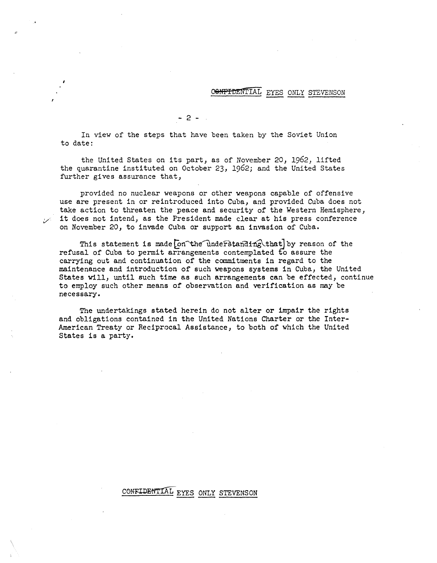## CONFIDENTIAL EYES ONLY STEVENSON

 $- 2 -$ 

In view of the steps that have been taken by the Soviet Union to date:

the United States on its part, as of November 20, 1962, lifted the quarantine instituted on October 23, 1962; and the United States further gives assurance that,

provided no nuclear weapons or other weapons capable of offensive use are present in or reintroduced into Cuba, and provided Cuba does not take action to threaten the peace and security of the Western Hemisphere, it does not intend, as the President made clear at his press conference on November 20, to invade Cuba or support an invasion of Cuba.

This statement is made on the understanding that by reason of the refusal of Cuba to permit arrangements contemplated to assure the carrying out and continuation of the commitments in regard to the maintenance and introduction of such weapons systems in Cuba, the United States will, until such time as such arrangements can be effected, continue to employ such other means of observation and verification as may be necessary.

The undertakings stated herein do not alter or impair the rights and obligations contained in the United Nations Charter or the Inter-American Treaty or Reciprocal Assistance, to both of which the United States is a party.

## CONFIDENTIAL EYES ONLY STEVENSON